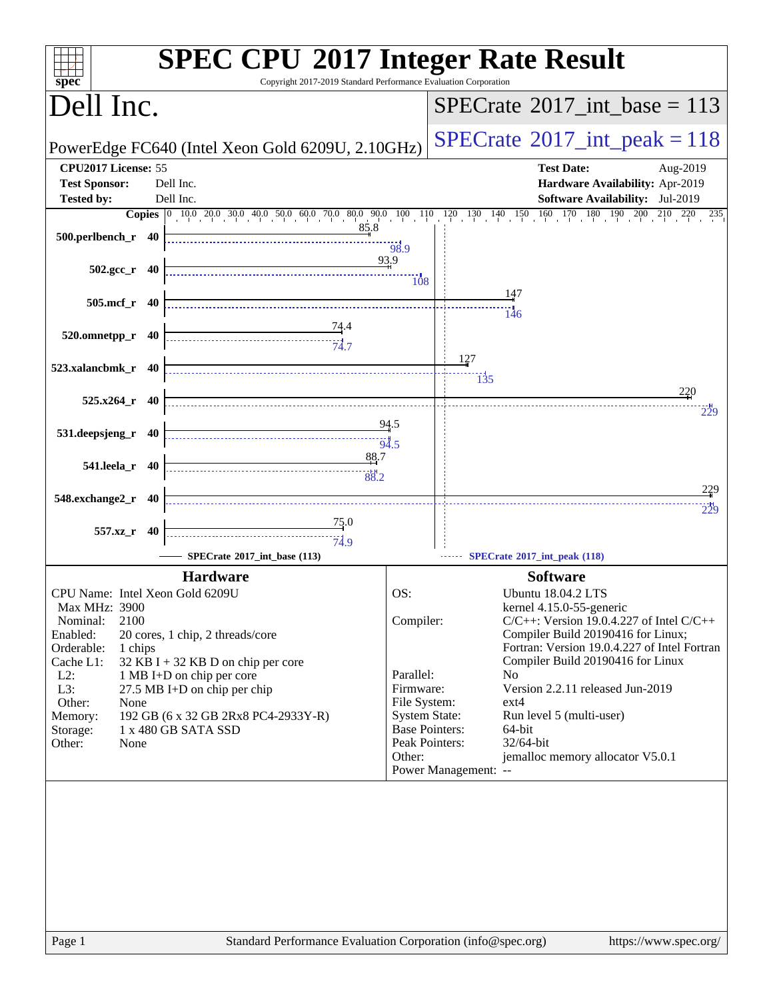| spec <sup>®</sup>                                                                                                                                                                                                                                                                                                                                                                                                                                                                                                                                                                           | <b>SPEC CPU®2017 Integer Rate Result</b><br>Copyright 2017-2019 Standard Performance Evaluation Corporation                                                                             |
|---------------------------------------------------------------------------------------------------------------------------------------------------------------------------------------------------------------------------------------------------------------------------------------------------------------------------------------------------------------------------------------------------------------------------------------------------------------------------------------------------------------------------------------------------------------------------------------------|-----------------------------------------------------------------------------------------------------------------------------------------------------------------------------------------|
| Dell Inc.                                                                                                                                                                                                                                                                                                                                                                                                                                                                                                                                                                                   | $SPECrate^{\circ}2017\_int\_base = 113$                                                                                                                                                 |
| PowerEdge FC640 (Intel Xeon Gold 6209U, 2.10GHz)                                                                                                                                                                                                                                                                                                                                                                                                                                                                                                                                            | $SPECrate^{\circ}2017\_int\_peak = 118$                                                                                                                                                 |
| CPU2017 License: 55                                                                                                                                                                                                                                                                                                                                                                                                                                                                                                                                                                         | <b>Test Date:</b><br>Aug-2019                                                                                                                                                           |
| <b>Test Sponsor:</b><br>Dell Inc.                                                                                                                                                                                                                                                                                                                                                                                                                                                                                                                                                           | Hardware Availability: Apr-2019                                                                                                                                                         |
| Dell Inc.<br><b>Tested by:</b>                                                                                                                                                                                                                                                                                                                                                                                                                                                                                                                                                              | <b>Software Availability:</b> Jul-2019                                                                                                                                                  |
|                                                                                                                                                                                                                                                                                                                                                                                                                                                                                                                                                                                             | <b>Copies</b> $\begin{bmatrix} 0 & 10 & 0 & 20 & 0 & 30 & 40 & 50 & 0 & 0 & 0 & 70 & 80 & 90 & 10 & 11 & 12 & 13 & 14 & 15 & 16 & 170 & 180 & 190 & 20 & 210 & 220 & 235 \end{bmatrix}$ |
| 85.8<br>500.perlbench_r 40                                                                                                                                                                                                                                                                                                                                                                                                                                                                                                                                                                  |                                                                                                                                                                                         |
|                                                                                                                                                                                                                                                                                                                                                                                                                                                                                                                                                                                             | $-98.9$<br>93.9                                                                                                                                                                         |
| $502.\text{gcc r}$ 40                                                                                                                                                                                                                                                                                                                                                                                                                                                                                                                                                                       | 108                                                                                                                                                                                     |
|                                                                                                                                                                                                                                                                                                                                                                                                                                                                                                                                                                                             | 147                                                                                                                                                                                     |
| 505.mcf_r 40                                                                                                                                                                                                                                                                                                                                                                                                                                                                                                                                                                                | 146                                                                                                                                                                                     |
| <u>74</u> .4<br>520.omnetpp_r                                                                                                                                                                                                                                                                                                                                                                                                                                                                                                                                                               |                                                                                                                                                                                         |
| 40                                                                                                                                                                                                                                                                                                                                                                                                                                                                                                                                                                                          |                                                                                                                                                                                         |
| 523.xalancbmk_r 40                                                                                                                                                                                                                                                                                                                                                                                                                                                                                                                                                                          | 127                                                                                                                                                                                     |
|                                                                                                                                                                                                                                                                                                                                                                                                                                                                                                                                                                                             | $\overline{135}$                                                                                                                                                                        |
| $525.x264$ <sub>r</sub> 40                                                                                                                                                                                                                                                                                                                                                                                                                                                                                                                                                                  | 220                                                                                                                                                                                     |
|                                                                                                                                                                                                                                                                                                                                                                                                                                                                                                                                                                                             | 229<br>94.5                                                                                                                                                                             |
| 531.deepsjeng_r 40                                                                                                                                                                                                                                                                                                                                                                                                                                                                                                                                                                          | 94.5                                                                                                                                                                                    |
| 88.7                                                                                                                                                                                                                                                                                                                                                                                                                                                                                                                                                                                        |                                                                                                                                                                                         |
| 541.leela_r 40<br>$\overbrace{ \begin{array}{c} \vdots \\ \vdots \\ \vdots \\ \vdots \\ \vdots \\ \vdots \\ \vdots \end{array}} \qquad \qquad \overbrace{ \begin{array}{c} \vdots \\ \vdots \\ \vdots \\ \vdots \\ \vdots \\ \vdots \\ \vdots \\ \vdots \\ \vdots \end{array}} \qquad \qquad \overbrace{ \begin{array}{c} \vdots \\ \vdots \\ \vdots \\ \vdots \\ \vdots \\ \vdots \\ \vdots \\ \vdots \\ \vdots \end{array}} \qquad \qquad \overbrace{ \begin{array}{c} \vdots \\ \vdots \\ \vdots \\ \vdots \\ \vdots \\ \vdots \\ \vdots \\ \vdots \\ \vdots \end{array}} \qquad \qquad$ |                                                                                                                                                                                         |
| 548.exchange2_r 40                                                                                                                                                                                                                                                                                                                                                                                                                                                                                                                                                                          | 229                                                                                                                                                                                     |
|                                                                                                                                                                                                                                                                                                                                                                                                                                                                                                                                                                                             | 229                                                                                                                                                                                     |
| $\frac{75.0}{4}$<br>557.xz_r 40                                                                                                                                                                                                                                                                                                                                                                                                                                                                                                                                                             |                                                                                                                                                                                         |
| 74.9                                                                                                                                                                                                                                                                                                                                                                                                                                                                                                                                                                                        |                                                                                                                                                                                         |
| SPECrate®2017 int base (113)                                                                                                                                                                                                                                                                                                                                                                                                                                                                                                                                                                | SPECrate*2017_int_peak (118)                                                                                                                                                            |
| <b>Hardware</b>                                                                                                                                                                                                                                                                                                                                                                                                                                                                                                                                                                             | <b>Software</b>                                                                                                                                                                         |
| CPU Name: Intel Xeon Gold 6209U<br><b>Max MHz: 3900</b>                                                                                                                                                                                                                                                                                                                                                                                                                                                                                                                                     | OS:<br><b>Ubuntu 18.04.2 LTS</b><br>kernel 4.15.0-55-generic                                                                                                                            |
| 2100<br>Nominal:                                                                                                                                                                                                                                                                                                                                                                                                                                                                                                                                                                            | $C/C++$ : Version 19.0.4.227 of Intel $C/C++$<br>Compiler:                                                                                                                              |
| Enabled:<br>20 cores, 1 chip, 2 threads/core                                                                                                                                                                                                                                                                                                                                                                                                                                                                                                                                                | Compiler Build 20190416 for Linux;                                                                                                                                                      |
| Orderable:<br>1 chips<br>Cache L1:<br>32 KB I + 32 KB D on chip per core                                                                                                                                                                                                                                                                                                                                                                                                                                                                                                                    | Fortran: Version 19.0.4.227 of Intel Fortran<br>Compiler Build 20190416 for Linux                                                                                                       |
| $L2$ :<br>1 MB I+D on chip per core                                                                                                                                                                                                                                                                                                                                                                                                                                                                                                                                                         | Parallel:<br>N <sub>0</sub>                                                                                                                                                             |
| L3:<br>27.5 MB I+D on chip per chip                                                                                                                                                                                                                                                                                                                                                                                                                                                                                                                                                         | Version 2.2.11 released Jun-2019<br>Firmware:                                                                                                                                           |
| Other:<br>None<br>Memory:<br>192 GB (6 x 32 GB 2Rx8 PC4-2933Y-R)                                                                                                                                                                                                                                                                                                                                                                                                                                                                                                                            | File System:<br>$ext{4}$<br><b>System State:</b><br>Run level 5 (multi-user)                                                                                                            |
| 1 x 480 GB SATA SSD<br>Storage:                                                                                                                                                                                                                                                                                                                                                                                                                                                                                                                                                             | <b>Base Pointers:</b><br>64-bit                                                                                                                                                         |
| Other:<br>None                                                                                                                                                                                                                                                                                                                                                                                                                                                                                                                                                                              | Peak Pointers:<br>32/64-bit                                                                                                                                                             |
|                                                                                                                                                                                                                                                                                                                                                                                                                                                                                                                                                                                             | jemalloc memory allocator V5.0.1<br>Other:<br>Power Management: --                                                                                                                      |
|                                                                                                                                                                                                                                                                                                                                                                                                                                                                                                                                                                                             |                                                                                                                                                                                         |
|                                                                                                                                                                                                                                                                                                                                                                                                                                                                                                                                                                                             |                                                                                                                                                                                         |
|                                                                                                                                                                                                                                                                                                                                                                                                                                                                                                                                                                                             |                                                                                                                                                                                         |
|                                                                                                                                                                                                                                                                                                                                                                                                                                                                                                                                                                                             |                                                                                                                                                                                         |
|                                                                                                                                                                                                                                                                                                                                                                                                                                                                                                                                                                                             |                                                                                                                                                                                         |
|                                                                                                                                                                                                                                                                                                                                                                                                                                                                                                                                                                                             |                                                                                                                                                                                         |
|                                                                                                                                                                                                                                                                                                                                                                                                                                                                                                                                                                                             |                                                                                                                                                                                         |
|                                                                                                                                                                                                                                                                                                                                                                                                                                                                                                                                                                                             |                                                                                                                                                                                         |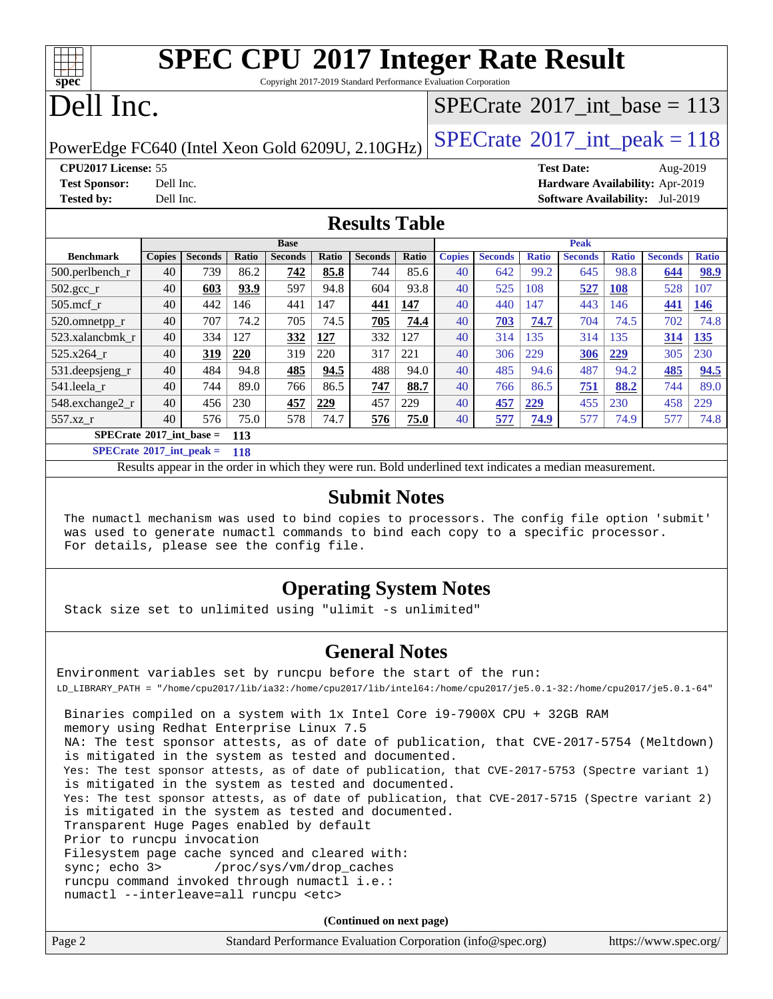# **[SPEC CPU](http://www.spec.org/auto/cpu2017/Docs/result-fields.html#SPECCPU2017IntegerRateResult)[2017 Integer Rate Result](http://www.spec.org/auto/cpu2017/Docs/result-fields.html#SPECCPU2017IntegerRateResult)**

Copyright 2017-2019 Standard Performance Evaluation Corporation

## Dell Inc.

**[spec](http://www.spec.org/)**

### $SPECTate@2017_int\_base = 113$

PowerEdge FC640 (Intel Xeon Gold 6209U, 2.10GHz)  $\left|$  [SPECrate](http://www.spec.org/auto/cpu2017/Docs/result-fields.html#SPECrate2017intpeak)®[2017\\_int\\_peak = 1](http://www.spec.org/auto/cpu2017/Docs/result-fields.html#SPECrate2017intpeak)18

**[Tested by:](http://www.spec.org/auto/cpu2017/Docs/result-fields.html#Testedby)** Dell Inc. **[Software Availability:](http://www.spec.org/auto/cpu2017/Docs/result-fields.html#SoftwareAvailability)** Jul-2019

**[CPU2017 License:](http://www.spec.org/auto/cpu2017/Docs/result-fields.html#CPU2017License)** 55 **[Test Date:](http://www.spec.org/auto/cpu2017/Docs/result-fields.html#TestDate)** Aug-2019 **[Test Sponsor:](http://www.spec.org/auto/cpu2017/Docs/result-fields.html#TestSponsor)** Dell Inc. **[Hardware Availability:](http://www.spec.org/auto/cpu2017/Docs/result-fields.html#HardwareAvailability)** Apr-2019

**[Results Table](http://www.spec.org/auto/cpu2017/Docs/result-fields.html#ResultsTable)**

|                                   | <b>Base</b>   |                |       | <b>Peak</b>    |       |                |       |               |                |              |                |              |                |              |
|-----------------------------------|---------------|----------------|-------|----------------|-------|----------------|-------|---------------|----------------|--------------|----------------|--------------|----------------|--------------|
| <b>Benchmark</b>                  | <b>Copies</b> | <b>Seconds</b> | Ratio | <b>Seconds</b> | Ratio | <b>Seconds</b> | Ratio | <b>Copies</b> | <b>Seconds</b> | <b>Ratio</b> | <b>Seconds</b> | <b>Ratio</b> | <b>Seconds</b> | <b>Ratio</b> |
| 500.perlbench_r                   | 40            | 739            | 86.2  | 742            | 85.8  | 744            | 85.6  | 40            | 642            | 99.2         | 645            | 98.8         | 644            | 98.9         |
| $502.\text{gcc}$                  | 40            | 603            | 93.9  | 597            | 94.8  | 604            | 93.8  | 40            | 525            | 108          | 527            | 108          | 528            | 107          |
| $505$ .mcf r                      | 40            | 442            | 146   | 441            | 147   | 441            | 147   | 40            | 440            | 147          | 443            | 146          | 441            | <b>146</b>   |
| 520.omnetpp_r                     | 40            | 707            | 74.2  | 705            | 74.5  | 705            | 74.4  | 40            | 703            | 74.7         | 704            | 74.5         | 702            | 74.8         |
| 523.xalancbmk r                   | 40            | 334            | 127   | 332            | 127   | 332            | 127   | 40            | 314            | 135          | 314            | 135          | 314            | 135          |
| 525.x264 r                        | 40            | 319            | 220   | 319            | 220   | 317            | 221   | 40            | 306            | 229          | 306            | 229          | 305            | 230          |
| 531.deepsjeng_r                   | 40            | 484            | 94.8  | 485            | 94.5  | 488            | 94.0  | 40            | 485            | 94.6         | 487            | 94.2         | 485            | 94.5         |
| 541.leela_r                       | 40            | 744            | 89.0  | 766            | 86.5  | 747            | 88.7  | 40            | 766            | 86.5         | 751            | 88.2         | 744            | 89.0         |
| 548.exchange2_r                   | 40            | 456            | 230   | 457            | 229   | 457            | 229   | 40            | 457            | 229          | 455            | 230          | 458            | 229          |
| 557.xz r                          | 40            | 576            | 75.0  | 578            | 74.7  | 576            | 75.0  | 40            | 577            | 74.9         | 577            | 74.9         | 577            | 74.8         |
| $SPECrate^{\circ}2017$ int base = |               |                | 113   |                |       |                |       |               |                |              |                |              |                |              |

**[SPECrate](http://www.spec.org/auto/cpu2017/Docs/result-fields.html#SPECrate2017intpeak)[2017\\_int\\_peak =](http://www.spec.org/auto/cpu2017/Docs/result-fields.html#SPECrate2017intpeak) 118**

Results appear in the [order in which they were run.](http://www.spec.org/auto/cpu2017/Docs/result-fields.html#RunOrder) Bold underlined text [indicates a median measurement.](http://www.spec.org/auto/cpu2017/Docs/result-fields.html#Median)

### **[Submit Notes](http://www.spec.org/auto/cpu2017/Docs/result-fields.html#SubmitNotes)**

 The numactl mechanism was used to bind copies to processors. The config file option 'submit' was used to generate numactl commands to bind each copy to a specific processor. For details, please see the config file.

### **[Operating System Notes](http://www.spec.org/auto/cpu2017/Docs/result-fields.html#OperatingSystemNotes)**

Stack size set to unlimited using "ulimit -s unlimited"

### **[General Notes](http://www.spec.org/auto/cpu2017/Docs/result-fields.html#GeneralNotes)**

Environment variables set by runcpu before the start of the run: LD\_LIBRARY\_PATH = "/home/cpu2017/lib/ia32:/home/cpu2017/lib/intel64:/home/cpu2017/je5.0.1-32:/home/cpu2017/je5.0.1-64" Binaries compiled on a system with 1x Intel Core i9-7900X CPU + 32GB RAM memory using Redhat Enterprise Linux 7.5 NA: The test sponsor attests, as of date of publication, that CVE-2017-5754 (Meltdown) is mitigated in the system as tested and documented. Yes: The test sponsor attests, as of date of publication, that CVE-2017-5753 (Spectre variant 1) is mitigated in the system as tested and documented. Yes: The test sponsor attests, as of date of publication, that CVE-2017-5715 (Spectre variant 2) is mitigated in the system as tested and documented. Transparent Huge Pages enabled by default Prior to runcpu invocation Filesystem page cache synced and cleared with: sync; echo 3> /proc/sys/vm/drop\_caches runcpu command invoked through numactl i.e.: numactl --interleave=all runcpu <etc>

**(Continued on next page)**

| Page 2 | Standard Performance Evaluation Corporation (info@spec.org) | https://www.spec.org/ |
|--------|-------------------------------------------------------------|-----------------------|
|--------|-------------------------------------------------------------|-----------------------|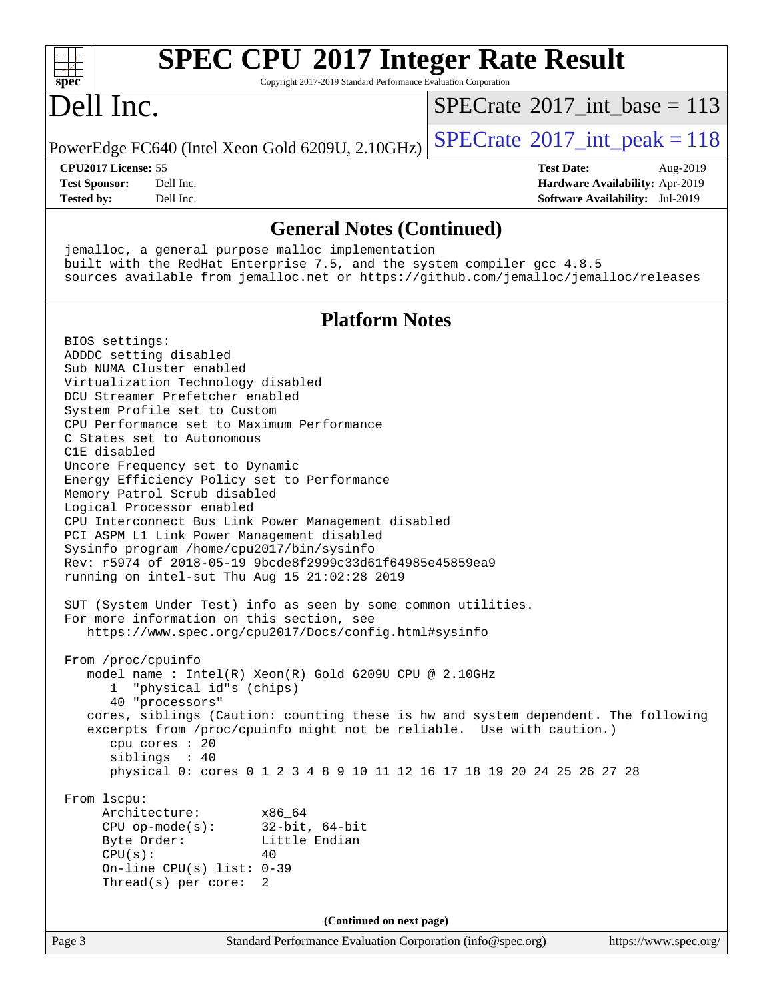| <b>SPEC CPU®2017 Integer Rate Result</b>                                                                                                                                                                                                                                                                                                                                                                                                                                                                                                                                                                                                                                                                                                                                                                                                       |                                                                           |
|------------------------------------------------------------------------------------------------------------------------------------------------------------------------------------------------------------------------------------------------------------------------------------------------------------------------------------------------------------------------------------------------------------------------------------------------------------------------------------------------------------------------------------------------------------------------------------------------------------------------------------------------------------------------------------------------------------------------------------------------------------------------------------------------------------------------------------------------|---------------------------------------------------------------------------|
| spec<br>Copyright 2017-2019 Standard Performance Evaluation Corporation                                                                                                                                                                                                                                                                                                                                                                                                                                                                                                                                                                                                                                                                                                                                                                        |                                                                           |
| Dell Inc.                                                                                                                                                                                                                                                                                                                                                                                                                                                                                                                                                                                                                                                                                                                                                                                                                                      | $SPECrate^{\circ}2017\_int\_base = 113$                                   |
| PowerEdge FC640 (Intel Xeon Gold 6209U, 2.10GHz)                                                                                                                                                                                                                                                                                                                                                                                                                                                                                                                                                                                                                                                                                                                                                                                               | $SPECrate^{\circ}2017\_int\_peak = 118$                                   |
| CPU2017 License: 55                                                                                                                                                                                                                                                                                                                                                                                                                                                                                                                                                                                                                                                                                                                                                                                                                            | <b>Test Date:</b><br>Aug-2019                                             |
| <b>Test Sponsor:</b><br>Dell Inc.<br><b>Tested by:</b><br>Dell Inc.                                                                                                                                                                                                                                                                                                                                                                                                                                                                                                                                                                                                                                                                                                                                                                            | Hardware Availability: Apr-2019<br><b>Software Availability:</b> Jul-2019 |
| <b>General Notes (Continued)</b>                                                                                                                                                                                                                                                                                                                                                                                                                                                                                                                                                                                                                                                                                                                                                                                                               |                                                                           |
| jemalloc, a general purpose malloc implementation<br>built with the RedHat Enterprise 7.5, and the system compiler gcc 4.8.5<br>sources available from jemalloc.net or https://github.com/jemalloc/jemalloc/releases                                                                                                                                                                                                                                                                                                                                                                                                                                                                                                                                                                                                                           |                                                                           |
|                                                                                                                                                                                                                                                                                                                                                                                                                                                                                                                                                                                                                                                                                                                                                                                                                                                |                                                                           |
| <b>Platform Notes</b><br>BIOS settings:                                                                                                                                                                                                                                                                                                                                                                                                                                                                                                                                                                                                                                                                                                                                                                                                        |                                                                           |
| ADDDC setting disabled<br>Sub NUMA Cluster enabled<br>Virtualization Technology disabled<br>DCU Streamer Prefetcher enabled<br>System Profile set to Custom<br>CPU Performance set to Maximum Performance<br>C States set to Autonomous<br>C1E disabled<br>Uncore Frequency set to Dynamic<br>Energy Efficiency Policy set to Performance<br>Memory Patrol Scrub disabled<br>Logical Processor enabled<br>CPU Interconnect Bus Link Power Management disabled<br>PCI ASPM L1 Link Power Management disabled<br>Sysinfo program /home/cpu2017/bin/sysinfo<br>Rev: r5974 of 2018-05-19 9bcde8f2999c33d61f64985e45859ea9<br>running on intel-sut Thu Aug 15 21:02:28 2019<br>SUT (System Under Test) info as seen by some common utilities.<br>For more information on this section, see<br>https://www.spec.org/cpu2017/Docs/config.html#sysinfo |                                                                           |
| From /proc/cpuinfo<br>model name : Intel(R) Xeon(R) Gold 6209U CPU @ 2.10GHz<br>"physical id"s (chips)<br>40 "processors"<br>cores, siblings (Caution: counting these is hw and system dependent. The following<br>excerpts from /proc/cpuinfo might not be reliable. Use with caution.)<br>cpu cores : 20<br>siblings : 40<br>physical 0: cores 0 1 2 3 4 8 9 10 11 12 16 17 18 19 20 24 25 26 27 28                                                                                                                                                                                                                                                                                                                                                                                                                                          |                                                                           |
| From 1scpu:<br>Architecture:<br>x86_64<br>$CPU op-mode(s):$<br>$32$ -bit, $64$ -bit<br>Little Endian<br>Byte Order:<br>CPU(s):<br>40<br>On-line CPU(s) list: $0-39$<br>Thread(s) per core:<br>2                                                                                                                                                                                                                                                                                                                                                                                                                                                                                                                                                                                                                                                |                                                                           |
| (Continued on next page)                                                                                                                                                                                                                                                                                                                                                                                                                                                                                                                                                                                                                                                                                                                                                                                                                       |                                                                           |
| Page 3<br>Standard Performance Evaluation Corporation (info@spec.org)                                                                                                                                                                                                                                                                                                                                                                                                                                                                                                                                                                                                                                                                                                                                                                          | https://www.spec.org/                                                     |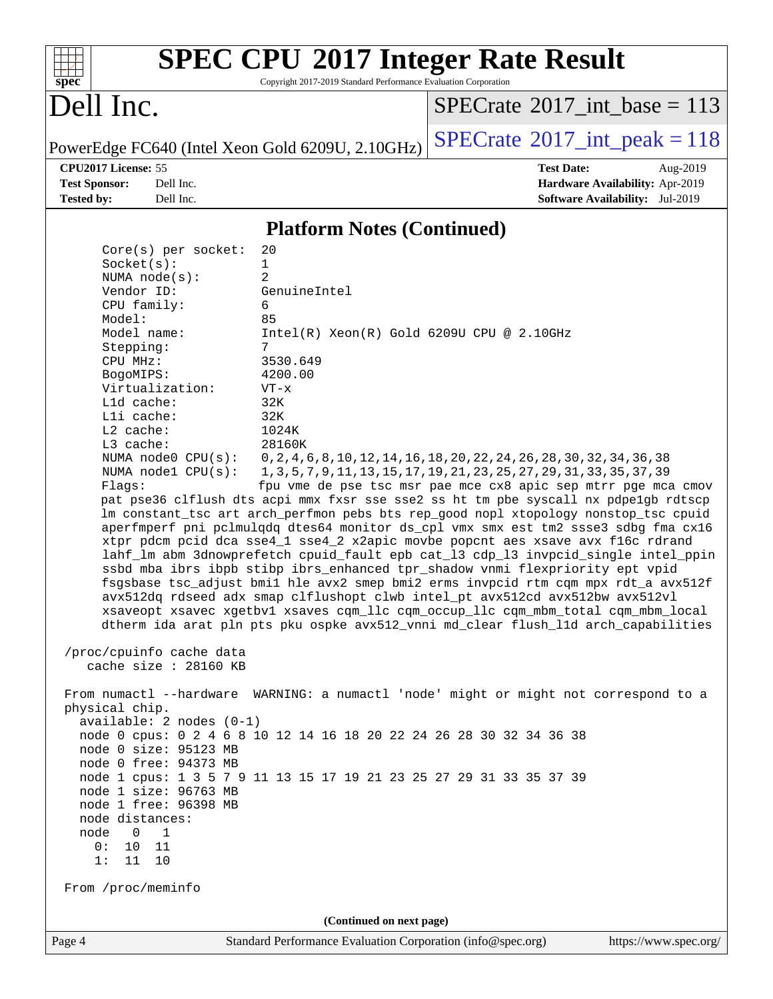

## **[SPEC CPU](http://www.spec.org/auto/cpu2017/Docs/result-fields.html#SPECCPU2017IntegerRateResult)[2017 Integer Rate Result](http://www.spec.org/auto/cpu2017/Docs/result-fields.html#SPECCPU2017IntegerRateResult)**

Copyright 2017-2019 Standard Performance Evaluation Corporation

### Dell Inc.

 $SPECrate$ <sup>®</sup>[2017\\_int\\_base =](http://www.spec.org/auto/cpu2017/Docs/result-fields.html#SPECrate2017intbase) 113

PowerEdge FC640 (Intel Xeon Gold 6209U, 2.10GHz)  $\text{SPECrate}^{\circ}2017\_int\_peak = 118$  $\text{SPECrate}^{\circ}2017\_int\_peak = 118$  $\text{SPECrate}^{\circ}2017\_int\_peak = 118$ 

**[CPU2017 License:](http://www.spec.org/auto/cpu2017/Docs/result-fields.html#CPU2017License)** 55 **[Test Date:](http://www.spec.org/auto/cpu2017/Docs/result-fields.html#TestDate)** Aug-2019 **[Test Sponsor:](http://www.spec.org/auto/cpu2017/Docs/result-fields.html#TestSponsor)** Dell Inc. **[Hardware Availability:](http://www.spec.org/auto/cpu2017/Docs/result-fields.html#HardwareAvailability)** Apr-2019 **[Tested by:](http://www.spec.org/auto/cpu2017/Docs/result-fields.html#Testedby)** Dell Inc. **[Software Availability:](http://www.spec.org/auto/cpu2017/Docs/result-fields.html#SoftwareAvailability)** Jul-2019

### **[Platform Notes \(Continued\)](http://www.spec.org/auto/cpu2017/Docs/result-fields.html#PlatformNotes)**

| From /proc/meminfo                                                                                                                                                                                                                                                                             | (Continued on next page)                                                                                                                                                                                                                                                                                                                                                                                                                                                                                                                                                                                                                                                                                                                                                                                                                                                                                                                                                                                                                                                                                                                                                                                                                                                                      |  |
|------------------------------------------------------------------------------------------------------------------------------------------------------------------------------------------------------------------------------------------------------------------------------------------------|-----------------------------------------------------------------------------------------------------------------------------------------------------------------------------------------------------------------------------------------------------------------------------------------------------------------------------------------------------------------------------------------------------------------------------------------------------------------------------------------------------------------------------------------------------------------------------------------------------------------------------------------------------------------------------------------------------------------------------------------------------------------------------------------------------------------------------------------------------------------------------------------------------------------------------------------------------------------------------------------------------------------------------------------------------------------------------------------------------------------------------------------------------------------------------------------------------------------------------------------------------------------------------------------------|--|
|                                                                                                                                                                                                                                                                                                |                                                                                                                                                                                                                                                                                                                                                                                                                                                                                                                                                                                                                                                                                                                                                                                                                                                                                                                                                                                                                                                                                                                                                                                                                                                                                               |  |
|                                                                                                                                                                                                                                                                                                |                                                                                                                                                                                                                                                                                                                                                                                                                                                                                                                                                                                                                                                                                                                                                                                                                                                                                                                                                                                                                                                                                                                                                                                                                                                                                               |  |
| cache size : 28160 KB<br>physical chip.<br>$available: 2 nodes (0-1)$<br>node 0 size: 95123 MB<br>node 0 free: 94373 MB<br>node 1 size: 96763 MB<br>node 1 free: 96398 MB<br>node distances:<br>node<br>1<br>0<br>10<br>0:<br>11<br>11<br>1:<br>10                                             | From numactl --hardware WARNING: a numactl 'node' might or might not correspond to a<br>node 0 cpus: 0 2 4 6 8 10 12 14 16 18 20 22 24 26 28 30 32 34 36 38<br>node 1 cpus: 1 3 5 7 9 11 13 15 17 19 21 23 25 27 29 31 33 35 37 39                                                                                                                                                                                                                                                                                                                                                                                                                                                                                                                                                                                                                                                                                                                                                                                                                                                                                                                                                                                                                                                            |  |
| $Core(s)$ per socket:<br>Socket(s):<br>NUMA $node(s)$ :<br>Vendor ID:<br>CPU family:<br>Model:<br>Model name:<br>Stepping:<br>CPU MHz:<br>BogoMIPS:<br>Virtualization:<br>L1d cache:<br>Lli cache:<br>$L2$ cache:<br>L3 cache:<br>NUMA $node1$ $CPU(s):$<br>Flags:<br>/proc/cpuinfo cache data | 20<br>$\mathbf{1}$<br>$\overline{2}$<br>GenuineIntel<br>6<br>85<br>$Intel(R) Xeon(R) Gold 6209U CPU @ 2.10GHz$<br>7<br>3530.649<br>4200.00<br>$VT - x$<br>32K<br>32K<br>1024K<br>28160K<br>NUMA node0 CPU(s): 0,2,4,6,8,10,12,14,16,18,20,22,24,26,28,30,32,34,36,38<br>1, 3, 5, 7, 9, 11, 13, 15, 17, 19, 21, 23, 25, 27, 29, 31, 33, 35, 37, 39<br>fpu vme de pse tsc msr pae mce cx8 apic sep mtrr pge mca cmov<br>pat pse36 clflush dts acpi mmx fxsr sse sse2 ss ht tm pbe syscall nx pdpelgb rdtscp<br>lm constant_tsc art arch_perfmon pebs bts rep_good nopl xtopology nonstop_tsc cpuid<br>aperfmperf pni pclmulqdq dtes64 monitor ds_cpl vmx smx est tm2 ssse3 sdbg fma cx16<br>xtpr pdcm pcid dca sse4_1 sse4_2 x2apic movbe popcnt aes xsave avx f16c rdrand<br>lahf_lm abm 3dnowprefetch cpuid_fault epb cat_13 cdp_13 invpcid_single intel_ppin<br>ssbd mba ibrs ibpb stibp ibrs_enhanced tpr_shadow vnmi flexpriority ept vpid<br>fsgsbase tsc_adjust bmil hle avx2 smep bmi2 erms invpcid rtm cqm mpx rdt_a avx512f<br>avx512dq rdseed adx smap clflushopt clwb intel_pt avx512cd avx512bw avx512vl<br>xsaveopt xsavec xgetbvl xsaves cqm llc cqm occup llc cqm mbm total cqm mbm local<br>dtherm ida arat pln pts pku ospke avx512_vnni md_clear flush_lld arch_capabilities |  |
|                                                                                                                                                                                                                                                                                                |                                                                                                                                                                                                                                                                                                                                                                                                                                                                                                                                                                                                                                                                                                                                                                                                                                                                                                                                                                                                                                                                                                                                                                                                                                                                                               |  |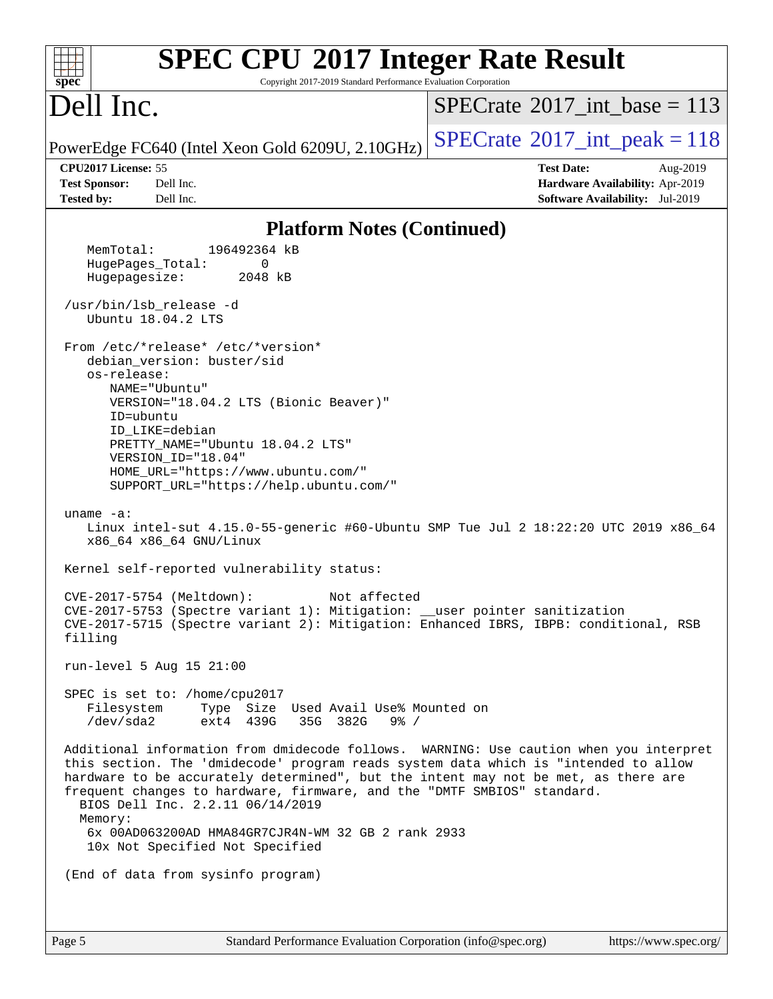| <b>SPEC CPU®2017 Integer Rate Result</b><br>Copyright 2017-2019 Standard Performance Evaluation Corporation<br>spec <sup>®</sup>                                                                                                                                                                                                                                                                                                                                                                                             |                                                                                                     |
|------------------------------------------------------------------------------------------------------------------------------------------------------------------------------------------------------------------------------------------------------------------------------------------------------------------------------------------------------------------------------------------------------------------------------------------------------------------------------------------------------------------------------|-----------------------------------------------------------------------------------------------------|
| Dell Inc.                                                                                                                                                                                                                                                                                                                                                                                                                                                                                                                    | $SPECrate^{\circledast}2017$ int base = 113                                                         |
| PowerEdge FC640 (Intel Xeon Gold 6209U, 2.10GHz)                                                                                                                                                                                                                                                                                                                                                                                                                                                                             | $SPECTate@2017_int\_peak = 118$                                                                     |
| CPU2017 License: 55<br><b>Test Sponsor:</b><br>Dell Inc.<br><b>Tested by:</b><br>Dell Inc.                                                                                                                                                                                                                                                                                                                                                                                                                                   | <b>Test Date:</b><br>Aug-2019<br>Hardware Availability: Apr-2019<br>Software Availability: Jul-2019 |
| <b>Platform Notes (Continued)</b>                                                                                                                                                                                                                                                                                                                                                                                                                                                                                            |                                                                                                     |
| 196492364 kB<br>MemTotal:<br>0<br>HugePages_Total:<br>Hugepagesize:<br>2048 kB<br>/usr/bin/lsb_release -d<br>Ubuntu 18.04.2 LTS<br>From /etc/*release* /etc/*version*<br>debian_version: buster/sid<br>os-release:<br>NAME="Ubuntu"<br>VERSION="18.04.2 LTS (Bionic Beaver)"<br>ID=ubuntu<br>ID_LIKE=debian<br>PRETTY_NAME="Ubuntu 18.04.2 LTS"<br>VERSION_ID="18.04"<br>HOME_URL="https://www.ubuntu.com/"<br>SUPPORT_URL="https://help.ubuntu.com/"                                                                        |                                                                                                     |
| uname $-a$ :<br>Linux intel-sut 4.15.0-55-generic #60-Ubuntu SMP Tue Jul 2 18:22:20 UTC 2019 x86_64<br>x86 64 x86 64 GNU/Linux<br>Kernel self-reported vulnerability status:                                                                                                                                                                                                                                                                                                                                                 |                                                                                                     |
| Not affected<br>CVE-2017-5754 (Meltdown):<br>CVE-2017-5753 (Spectre variant 1): Mitigation: __user pointer sanitization<br>CVE-2017-5715 (Spectre variant 2): Mitigation: Enhanced IBRS, IBPB: conditional, RSB<br>filling                                                                                                                                                                                                                                                                                                   |                                                                                                     |
| run-level 5 Aug 15 21:00                                                                                                                                                                                                                                                                                                                                                                                                                                                                                                     |                                                                                                     |
| SPEC is set to: /home/cpu2017<br>Filesystem<br>Type Size Used Avail Use% Mounted on<br>/dev/sda2<br>35G 382G<br>ext4 439G<br>$9\frac{8}{10}$ /                                                                                                                                                                                                                                                                                                                                                                               |                                                                                                     |
| Additional information from dmidecode follows. WARNING: Use caution when you interpret<br>this section. The 'dmidecode' program reads system data which is "intended to allow<br>hardware to be accurately determined", but the intent may not be met, as there are<br>frequent changes to hardware, firmware, and the "DMTF SMBIOS" standard.<br>BIOS Dell Inc. 2.2.11 06/14/2019<br>Memory:<br>6x 00AD063200AD HMA84GR7CJR4N-WM 32 GB 2 rank 2933<br>10x Not Specified Not Specified<br>(End of data from sysinfo program) |                                                                                                     |
|                                                                                                                                                                                                                                                                                                                                                                                                                                                                                                                              |                                                                                                     |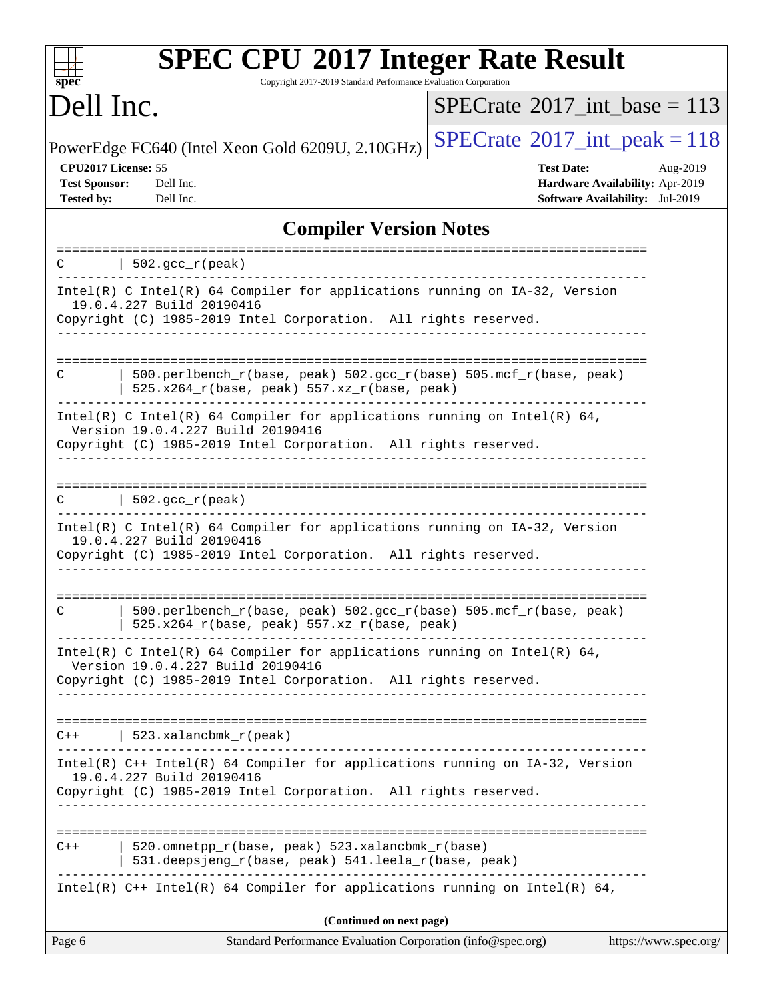| <b>SPEC CPU®2017 Integer Rate Result</b><br>Copyright 2017-2019 Standard Performance Evaluation Corporation<br>$spec^*$                                                                      |          |
|----------------------------------------------------------------------------------------------------------------------------------------------------------------------------------------------|----------|
| Dell Inc.<br>$SPECrate^{\circledast}2017$ int base = 113                                                                                                                                     |          |
| $SPECrate^{\circ}2017\_int\_peak = 118$<br>PowerEdge FC640 (Intel Xeon Gold 6209U, 2.10GHz)                                                                                                  |          |
| CPU2017 License: 55<br><b>Test Date:</b><br><b>Test Sponsor:</b><br>Dell Inc.<br><b>Hardware Availability: Apr-2019</b><br>Software Availability: Jul-2019<br><b>Tested by:</b><br>Dell Inc. | Aug-2019 |
| <b>Compiler Version Notes</b>                                                                                                                                                                |          |
| $502.\text{gcc\_r}(\text{peak})$<br>C                                                                                                                                                        |          |
| Intel(R) C Intel(R) 64 Compiler for applications running on IA-32, Version<br>19.0.4.227 Build 20190416<br>Copyright (C) 1985-2019 Intel Corporation. All rights reserved.                   |          |
| 500.perlbench_r(base, peak) 502.gcc_r(base) 505.mcf_r(base, peak)<br>C<br>525.x264_r(base, peak) 557.xz_r(base, peak)                                                                        |          |
| Intel(R) C Intel(R) 64 Compiler for applications running on Intel(R) 64,<br>Version 19.0.4.227 Build 20190416<br>Copyright (C) 1985-2019 Intel Corporation. All rights reserved.             |          |
| $  502.\text{gcc_r(peak)}$<br>C                                                                                                                                                              |          |
| Intel(R) C Intel(R) 64 Compiler for applications running on IA-32, Version<br>19.0.4.227 Build 20190416<br>Copyright (C) 1985-2019 Intel Corporation. All rights reserved.                   |          |
| 500.perlbench_r(base, peak) 502.gcc_r(base) 505.mcf_r(base, peak)<br>C<br>525.x264_r(base, peak) 557.xz_r(base, peak)                                                                        |          |
| Intel(R) C Intel(R) 64 Compiler for applications running on Intel(R) 64,<br>Version 19.0.4.227 Build 20190416<br>Copyright (C) 1985-2019 Intel Corporation. All rights reserved.             |          |
| $C++$   523.xalancbmk_r(peak)                                                                                                                                                                |          |
| Intel(R) C++ Intel(R) 64 Compiler for applications running on IA-32, Version<br>19.0.4.227 Build 20190416<br>Copyright (C) 1985-2019 Intel Corporation. All rights reserved.                 |          |
| 520.omnetpp_r(base, peak) 523.xalancbmk_r(base)<br>$C++$<br>531.deepsjeng_r(base, peak) 541.leela_r(base, peak)                                                                              |          |
| Intel(R) $C++$ Intel(R) 64 Compiler for applications running on Intel(R) 64,                                                                                                                 |          |
| (Continued on next page)<br>Page 6<br>Standard Performance Evaluation Corporation (info@spec.org)<br>https://www.spec.org/                                                                   |          |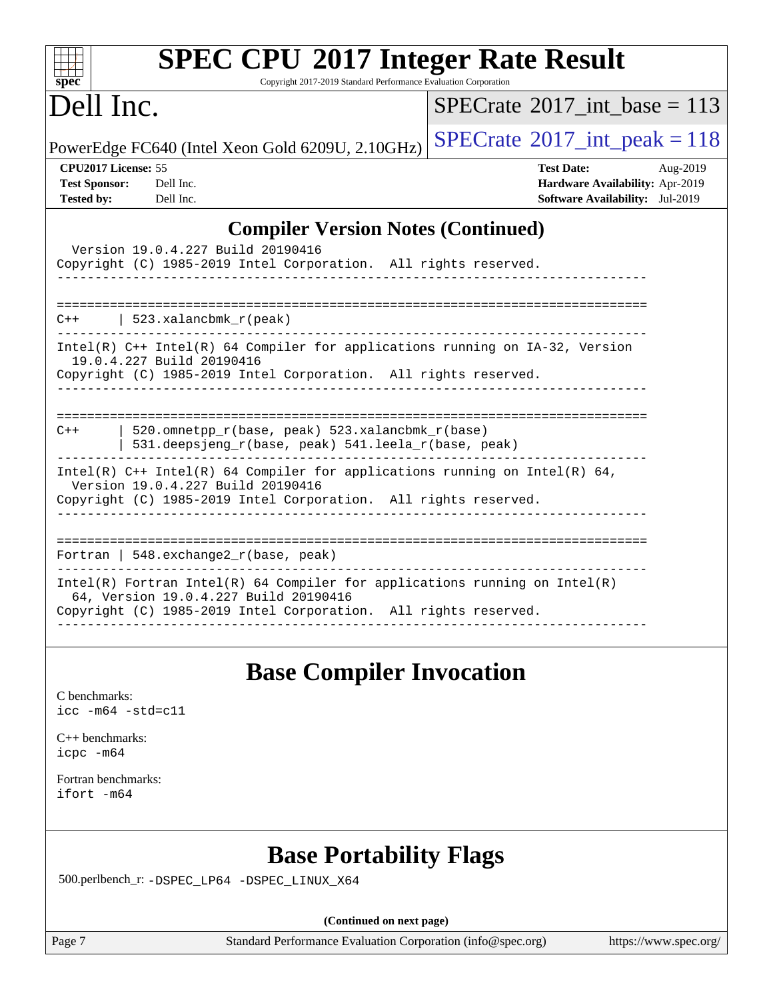| <b>SPEC CPU®2017 Integer Rate Result</b><br>Copyright 2017-2019 Standard Performance Evaluation Corporation                                                                                                                                                                                                                                                                                                                                                                                                                                                                                                                                                                                                                                                                                                                                                                                                             |                                                                                                     |
|-------------------------------------------------------------------------------------------------------------------------------------------------------------------------------------------------------------------------------------------------------------------------------------------------------------------------------------------------------------------------------------------------------------------------------------------------------------------------------------------------------------------------------------------------------------------------------------------------------------------------------------------------------------------------------------------------------------------------------------------------------------------------------------------------------------------------------------------------------------------------------------------------------------------------|-----------------------------------------------------------------------------------------------------|
| $spec^*$<br>Dell Inc.                                                                                                                                                                                                                                                                                                                                                                                                                                                                                                                                                                                                                                                                                                                                                                                                                                                                                                   | $SPECrate^{\circledast}2017$ int base = 113                                                         |
| PowerEdge FC640 (Intel Xeon Gold 6209U, 2.10GHz)                                                                                                                                                                                                                                                                                                                                                                                                                                                                                                                                                                                                                                                                                                                                                                                                                                                                        | $SPECrate^{\circ}2017\_int\_peak = 118$                                                             |
| CPU2017 License: 55<br><b>Test Sponsor:</b><br>Dell Inc.<br><b>Tested by:</b><br>Dell Inc.                                                                                                                                                                                                                                                                                                                                                                                                                                                                                                                                                                                                                                                                                                                                                                                                                              | <b>Test Date:</b><br>Aug-2019<br>Hardware Availability: Apr-2019<br>Software Availability: Jul-2019 |
| <b>Compiler Version Notes (Continued)</b><br>Version 19.0.4.227 Build 20190416<br>Copyright (C) 1985-2019 Intel Corporation. All rights reserved.<br>$C++$   523.xalancbmk_r(peak)<br>Intel(R) C++ Intel(R) 64 Compiler for applications running on IA-32, Version<br>19.0.4.227 Build 20190416<br>Copyright (C) 1985-2019 Intel Corporation. All rights reserved.<br>520.omnetpp_r(base, peak) 523.xalancbmk_r(base)<br>$C++$<br>531.deepsjeng_r(base, peak) 541.leela_r(base, peak)<br>Intel(R) C++ Intel(R) 64 Compiler for applications running on Intel(R) 64,<br>Version 19.0.4.227 Build 20190416<br>Copyright (C) 1985-2019 Intel Corporation. All rights reserved.<br>Fortran   $548$ . exchange $2r$ (base, peak)<br>$Intel(R)$ Fortran Intel(R) 64 Compiler for applications running on Intel(R)<br>64, Version 19.0.4.227 Build 20190416<br>Copyright (C) 1985-2019 Intel Corporation. All rights reserved. |                                                                                                     |
| <b>Base Compiler Invocation</b><br>C benchmarks:<br>icc -m64 -std=c11<br>$C++$ benchmarks:<br>icpc -m64<br>Fortran benchmarks:<br>ifort -m64<br><b>Base Portability Flags</b><br>500.perlbench_r: -DSPEC_LP64 -DSPEC_LINUX_X64                                                                                                                                                                                                                                                                                                                                                                                                                                                                                                                                                                                                                                                                                          |                                                                                                     |
| (Continued on next page)                                                                                                                                                                                                                                                                                                                                                                                                                                                                                                                                                                                                                                                                                                                                                                                                                                                                                                |                                                                                                     |

Page 7 Standard Performance Evaluation Corporation [\(info@spec.org\)](mailto:info@spec.org) <https://www.spec.org/>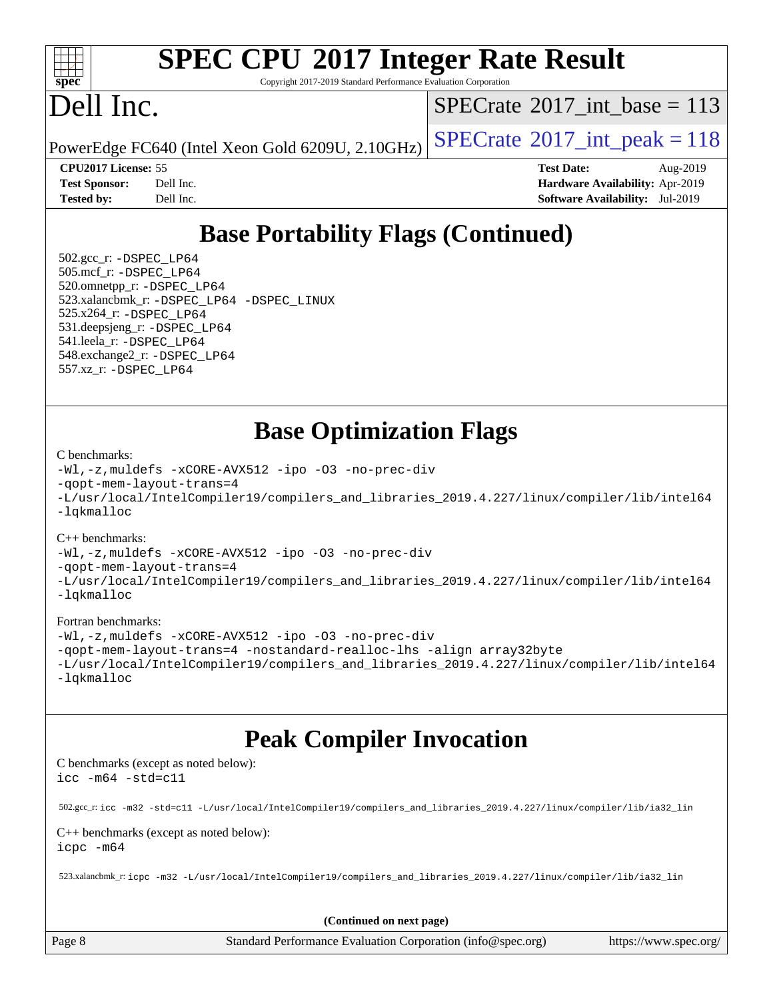

## **[SPEC CPU](http://www.spec.org/auto/cpu2017/Docs/result-fields.html#SPECCPU2017IntegerRateResult)[2017 Integer Rate Result](http://www.spec.org/auto/cpu2017/Docs/result-fields.html#SPECCPU2017IntegerRateResult)**

Copyright 2017-2019 Standard Performance Evaluation Corporation

## Dell Inc.

 $SPECTate@2017_int\_base = 113$ 

PowerEdge FC640 (Intel Xeon Gold 6209U, 2.10GHz)  $\left|$  [SPECrate](http://www.spec.org/auto/cpu2017/Docs/result-fields.html#SPECrate2017intpeak)<sup>®</sup>[2017\\_int\\_peak = 1](http://www.spec.org/auto/cpu2017/Docs/result-fields.html#SPECrate2017intpeak)18

**[CPU2017 License:](http://www.spec.org/auto/cpu2017/Docs/result-fields.html#CPU2017License)** 55 **[Test Date:](http://www.spec.org/auto/cpu2017/Docs/result-fields.html#TestDate)** Aug-2019 **[Test Sponsor:](http://www.spec.org/auto/cpu2017/Docs/result-fields.html#TestSponsor)** Dell Inc. **[Hardware Availability:](http://www.spec.org/auto/cpu2017/Docs/result-fields.html#HardwareAvailability)** Apr-2019 **[Tested by:](http://www.spec.org/auto/cpu2017/Docs/result-fields.html#Testedby)** Dell Inc. **[Software Availability:](http://www.spec.org/auto/cpu2017/Docs/result-fields.html#SoftwareAvailability)** Jul-2019

### **[Base Portability Flags \(Continued\)](http://www.spec.org/auto/cpu2017/Docs/result-fields.html#BasePortabilityFlags)**

 502.gcc\_r: [-DSPEC\\_LP64](http://www.spec.org/cpu2017/results/res2019q3/cpu2017-20190819-16939.flags.html#suite_basePORTABILITY502_gcc_r_DSPEC_LP64) 505.mcf\_r: [-DSPEC\\_LP64](http://www.spec.org/cpu2017/results/res2019q3/cpu2017-20190819-16939.flags.html#suite_basePORTABILITY505_mcf_r_DSPEC_LP64) 520.omnetpp\_r: [-DSPEC\\_LP64](http://www.spec.org/cpu2017/results/res2019q3/cpu2017-20190819-16939.flags.html#suite_basePORTABILITY520_omnetpp_r_DSPEC_LP64) 523.xalancbmk\_r: [-DSPEC\\_LP64](http://www.spec.org/cpu2017/results/res2019q3/cpu2017-20190819-16939.flags.html#suite_basePORTABILITY523_xalancbmk_r_DSPEC_LP64) [-DSPEC\\_LINUX](http://www.spec.org/cpu2017/results/res2019q3/cpu2017-20190819-16939.flags.html#b523.xalancbmk_r_baseCXXPORTABILITY_DSPEC_LINUX) 525.x264\_r: [-DSPEC\\_LP64](http://www.spec.org/cpu2017/results/res2019q3/cpu2017-20190819-16939.flags.html#suite_basePORTABILITY525_x264_r_DSPEC_LP64) 531.deepsjeng\_r: [-DSPEC\\_LP64](http://www.spec.org/cpu2017/results/res2019q3/cpu2017-20190819-16939.flags.html#suite_basePORTABILITY531_deepsjeng_r_DSPEC_LP64) 541.leela\_r: [-DSPEC\\_LP64](http://www.spec.org/cpu2017/results/res2019q3/cpu2017-20190819-16939.flags.html#suite_basePORTABILITY541_leela_r_DSPEC_LP64) 548.exchange2\_r: [-DSPEC\\_LP64](http://www.spec.org/cpu2017/results/res2019q3/cpu2017-20190819-16939.flags.html#suite_basePORTABILITY548_exchange2_r_DSPEC_LP64) 557.xz\_r: [-DSPEC\\_LP64](http://www.spec.org/cpu2017/results/res2019q3/cpu2017-20190819-16939.flags.html#suite_basePORTABILITY557_xz_r_DSPEC_LP64)

### **[Base Optimization Flags](http://www.spec.org/auto/cpu2017/Docs/result-fields.html#BaseOptimizationFlags)**

#### [C benchmarks](http://www.spec.org/auto/cpu2017/Docs/result-fields.html#Cbenchmarks):

```
-Wl,-z,muldefs -xCORE-AVX512 -ipo -O3 -no-prec-div
-qopt-mem-layout-trans=4
-L/usr/local/IntelCompiler19/compilers_and_libraries_2019.4.227/linux/compiler/lib/intel64
-lqkmalloc
```
### [C++ benchmarks](http://www.spec.org/auto/cpu2017/Docs/result-fields.html#CXXbenchmarks):

```
-Wl,-z,muldefs -xCORE-AVX512 -ipo -O3 -no-prec-div
-qopt-mem-layout-trans=4
-L/usr/local/IntelCompiler19/compilers_and_libraries_2019.4.227/linux/compiler/lib/intel64
-lqkmalloc
```
### [Fortran benchmarks](http://www.spec.org/auto/cpu2017/Docs/result-fields.html#Fortranbenchmarks):

```
-Wl,-z,muldefs -xCORE-AVX512 -ipo -O3 -no-prec-div
-qopt-mem-layout-trans=4 -nostandard-realloc-lhs -align array32byte
-L/usr/local/IntelCompiler19/compilers_and_libraries_2019.4.227/linux/compiler/lib/intel64
-lqkmalloc
```
### **[Peak Compiler Invocation](http://www.spec.org/auto/cpu2017/Docs/result-fields.html#PeakCompilerInvocation)**

[C benchmarks \(except as noted below\)](http://www.spec.org/auto/cpu2017/Docs/result-fields.html#Cbenchmarksexceptasnotedbelow): [icc -m64 -std=c11](http://www.spec.org/cpu2017/results/res2019q3/cpu2017-20190819-16939.flags.html#user_CCpeak_intel_icc_64bit_c11_33ee0cdaae7deeeab2a9725423ba97205ce30f63b9926c2519791662299b76a0318f32ddfffdc46587804de3178b4f9328c46fa7c2b0cd779d7a61945c91cd35)

502.gcc\_r: [icc -m32 -std=c11 -L/usr/local/IntelCompiler19/compilers\\_and\\_libraries\\_2019.4.227/linux/compiler/lib/ia32\\_lin](http://www.spec.org/cpu2017/results/res2019q3/cpu2017-20190819-16939.flags.html#user_peakCCLD502_gcc_r_intel_icc_38a193a897536fa645efb1dc6ac2bea2bddbbe56f130e144a606d1b2649003f27c79f8814020c1f9355cbbf0d7ab0d194a7a979ee1e2a95641bbb8cf571aac7b)

#### [C++ benchmarks \(except as noted below\)](http://www.spec.org/auto/cpu2017/Docs/result-fields.html#CXXbenchmarksexceptasnotedbelow): [icpc -m64](http://www.spec.org/cpu2017/results/res2019q3/cpu2017-20190819-16939.flags.html#user_CXXpeak_intel_icpc_64bit_4ecb2543ae3f1412ef961e0650ca070fec7b7afdcd6ed48761b84423119d1bf6bdf5cad15b44d48e7256388bc77273b966e5eb805aefd121eb22e9299b2ec9d9)

523.xalancbmk\_r: [icpc -m32 -L/usr/local/IntelCompiler19/compilers\\_and\\_libraries\\_2019.4.227/linux/compiler/lib/ia32\\_lin](http://www.spec.org/cpu2017/results/res2019q3/cpu2017-20190819-16939.flags.html#user_peakCXXLD523_xalancbmk_r_intel_icpc_840f965b38320ad10acba6032d6ca4c816e722c432c250f3408feae347068ba449f694544a48cf12cd3bde3495e328e6747ab0f629c2925d3062e2ee144af951)

**(Continued on next page)**

Page 8 Standard Performance Evaluation Corporation [\(info@spec.org\)](mailto:info@spec.org) <https://www.spec.org/>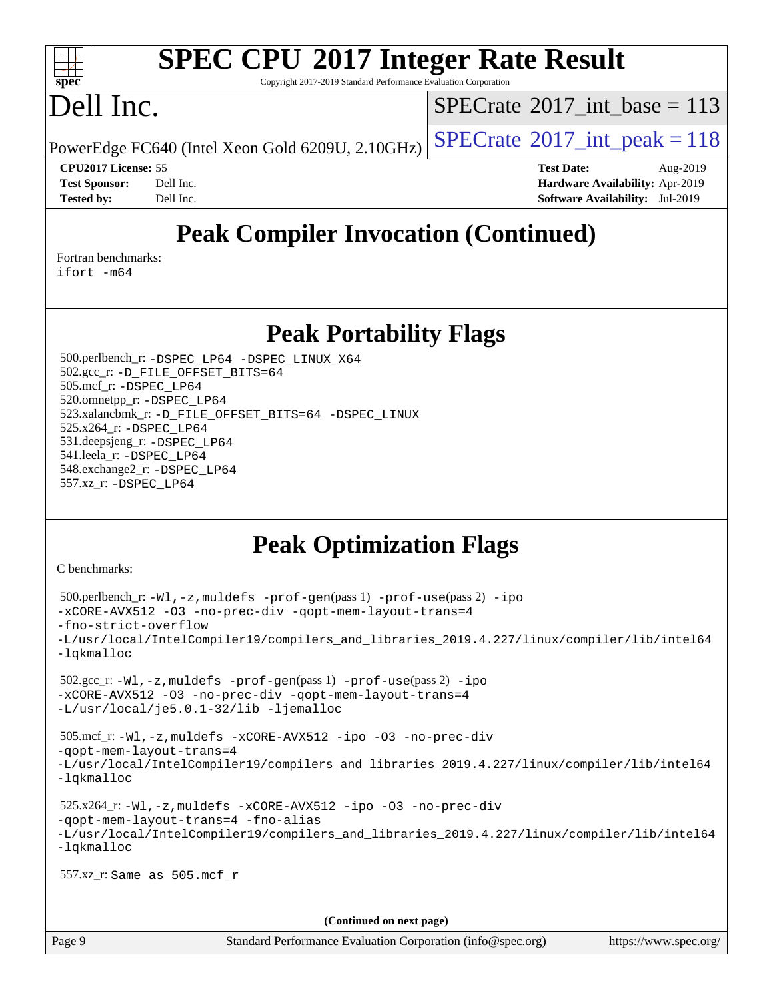### $\pm t$ **[spec](http://www.spec.org/)**

## **[SPEC CPU](http://www.spec.org/auto/cpu2017/Docs/result-fields.html#SPECCPU2017IntegerRateResult)[2017 Integer Rate Result](http://www.spec.org/auto/cpu2017/Docs/result-fields.html#SPECCPU2017IntegerRateResult)**

Copyright 2017-2019 Standard Performance Evaluation Corporation

## Dell Inc.

 $SPECTate@2017_int\_base = 113$ 

PowerEdge FC640 (Intel Xeon Gold 6209U, 2.10GHz)  $\left|$  [SPECrate](http://www.spec.org/auto/cpu2017/Docs/result-fields.html#SPECrate2017intpeak)<sup>®</sup>[2017\\_int\\_peak = 1](http://www.spec.org/auto/cpu2017/Docs/result-fields.html#SPECrate2017intpeak)18

**[CPU2017 License:](http://www.spec.org/auto/cpu2017/Docs/result-fields.html#CPU2017License)** 55 **[Test Date:](http://www.spec.org/auto/cpu2017/Docs/result-fields.html#TestDate)** Aug-2019 **[Test Sponsor:](http://www.spec.org/auto/cpu2017/Docs/result-fields.html#TestSponsor)** Dell Inc. **[Hardware Availability:](http://www.spec.org/auto/cpu2017/Docs/result-fields.html#HardwareAvailability)** Apr-2019 **[Tested by:](http://www.spec.org/auto/cpu2017/Docs/result-fields.html#Testedby)** Dell Inc. **[Software Availability:](http://www.spec.org/auto/cpu2017/Docs/result-fields.html#SoftwareAvailability)** Jul-2019

### **[Peak Compiler Invocation \(Continued\)](http://www.spec.org/auto/cpu2017/Docs/result-fields.html#PeakCompilerInvocation)**

[Fortran benchmarks](http://www.spec.org/auto/cpu2017/Docs/result-fields.html#Fortranbenchmarks): [ifort -m64](http://www.spec.org/cpu2017/results/res2019q3/cpu2017-20190819-16939.flags.html#user_FCpeak_intel_ifort_64bit_24f2bb282fbaeffd6157abe4f878425411749daecae9a33200eee2bee2fe76f3b89351d69a8130dd5949958ce389cf37ff59a95e7a40d588e8d3a57e0c3fd751)

**[Peak Portability Flags](http://www.spec.org/auto/cpu2017/Docs/result-fields.html#PeakPortabilityFlags)**

 500.perlbench\_r: [-DSPEC\\_LP64](http://www.spec.org/cpu2017/results/res2019q3/cpu2017-20190819-16939.flags.html#b500.perlbench_r_peakPORTABILITY_DSPEC_LP64) [-DSPEC\\_LINUX\\_X64](http://www.spec.org/cpu2017/results/res2019q3/cpu2017-20190819-16939.flags.html#b500.perlbench_r_peakCPORTABILITY_DSPEC_LINUX_X64) 502.gcc\_r: [-D\\_FILE\\_OFFSET\\_BITS=64](http://www.spec.org/cpu2017/results/res2019q3/cpu2017-20190819-16939.flags.html#user_peakPORTABILITY502_gcc_r_file_offset_bits_64_5ae949a99b284ddf4e95728d47cb0843d81b2eb0e18bdfe74bbf0f61d0b064f4bda2f10ea5eb90e1dcab0e84dbc592acfc5018bc955c18609f94ddb8d550002c) 505.mcf\_r: [-DSPEC\\_LP64](http://www.spec.org/cpu2017/results/res2019q3/cpu2017-20190819-16939.flags.html#suite_peakPORTABILITY505_mcf_r_DSPEC_LP64) 520.omnetpp\_r: [-DSPEC\\_LP64](http://www.spec.org/cpu2017/results/res2019q3/cpu2017-20190819-16939.flags.html#suite_peakPORTABILITY520_omnetpp_r_DSPEC_LP64) 523.xalancbmk\_r: [-D\\_FILE\\_OFFSET\\_BITS=64](http://www.spec.org/cpu2017/results/res2019q3/cpu2017-20190819-16939.flags.html#user_peakPORTABILITY523_xalancbmk_r_file_offset_bits_64_5ae949a99b284ddf4e95728d47cb0843d81b2eb0e18bdfe74bbf0f61d0b064f4bda2f10ea5eb90e1dcab0e84dbc592acfc5018bc955c18609f94ddb8d550002c) [-DSPEC\\_LINUX](http://www.spec.org/cpu2017/results/res2019q3/cpu2017-20190819-16939.flags.html#b523.xalancbmk_r_peakCXXPORTABILITY_DSPEC_LINUX) 525.x264\_r: [-DSPEC\\_LP64](http://www.spec.org/cpu2017/results/res2019q3/cpu2017-20190819-16939.flags.html#suite_peakPORTABILITY525_x264_r_DSPEC_LP64) 531.deepsjeng\_r: [-DSPEC\\_LP64](http://www.spec.org/cpu2017/results/res2019q3/cpu2017-20190819-16939.flags.html#suite_peakPORTABILITY531_deepsjeng_r_DSPEC_LP64) 541.leela\_r: [-DSPEC\\_LP64](http://www.spec.org/cpu2017/results/res2019q3/cpu2017-20190819-16939.flags.html#suite_peakPORTABILITY541_leela_r_DSPEC_LP64) 548.exchange2\_r: [-DSPEC\\_LP64](http://www.spec.org/cpu2017/results/res2019q3/cpu2017-20190819-16939.flags.html#suite_peakPORTABILITY548_exchange2_r_DSPEC_LP64) 557.xz\_r: [-DSPEC\\_LP64](http://www.spec.org/cpu2017/results/res2019q3/cpu2017-20190819-16939.flags.html#suite_peakPORTABILITY557_xz_r_DSPEC_LP64)

### **[Peak Optimization Flags](http://www.spec.org/auto/cpu2017/Docs/result-fields.html#PeakOptimizationFlags)**

[C benchmarks](http://www.spec.org/auto/cpu2017/Docs/result-fields.html#Cbenchmarks):

```
 500.perlbench_r: -Wl,-z,muldefs -prof-gen(pass 1) -prof-use(pass 2) -ipo
-xCORE-AVX512 -O3 -no-prec-div -qopt-mem-layout-trans=4
-fno-strict-overflow
-L/usr/local/IntelCompiler19/compilers_and_libraries_2019.4.227/linux/compiler/lib/intel64
-lqkmalloc
 502.gcc_r: -Wl,-z,muldefs -prof-gen(pass 1) -prof-use(pass 2) -ipo
-xCORE-AVX512 -O3 -no-prec-div -qopt-mem-layout-trans=4
-L/usr/local/je5.0.1-32/lib -ljemalloc
 505.mcf_r: -Wl,-z,muldefs -xCORE-AVX512 -ipo -O3 -no-prec-div
-qopt-mem-layout-trans=4
-L/usr/local/IntelCompiler19/compilers_and_libraries_2019.4.227/linux/compiler/lib/intel64
-lqkmalloc
 525.x264_r: -Wl,-z,muldefs -xCORE-AVX512 -ipo -O3 -no-prec-div
-qopt-mem-layout-trans=4 -fno-alias
-L/usr/local/IntelCompiler19/compilers_and_libraries_2019.4.227/linux/compiler/lib/intel64
-lqkmalloc
 557.xz_r: Same as 505.mcf_r
                                      (Continued on next page)
```